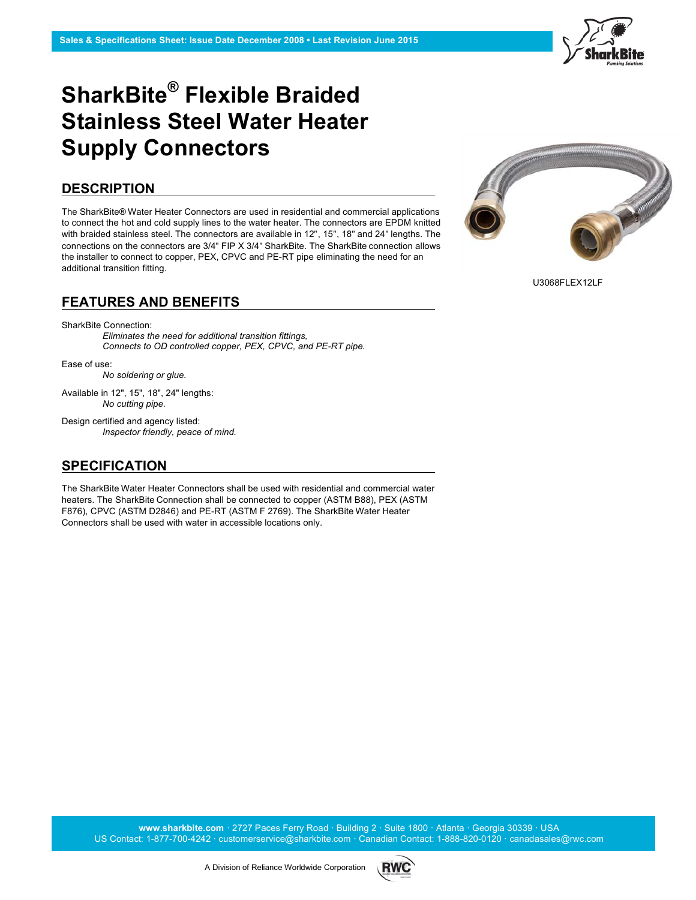

## **SharkBite® Flexible Braided Stainless Steel Water Heater Supply Connectors**

#### **DESCRIPTION**

The SharkBite® Water Heater Connectors are used in residential and commercial applications to connect the hot and cold supply lines to the water heater. The connectors are EPDM knitted with braided stainless steel. The connectors are available in 12", 15", 18" and 24" lengths. The connections on the connectors are 3/4" FIP X 3/4" SharkBite. The SharkBite connection allows the installer to connect to copper, PEX, CPVC and PE-RT pipe eliminating the need for an additional transition fitting.

#### **FEATURES AND BENEFITS**

SharkBite Connection:

*Eliminates the need for additional transition fittings, Connects to OD controlled copper, PEX, CPVC, and PE-RT pipe.*

Ease of use:

*No soldering or glue.*

Available in 12", 15", 18", 24" lengths: *No cutting pipe.*

Design certified and agency listed: *Inspector friendly, peace of mind.*

## **SPECIFICATION**

The SharkBite Water Heater Connectors shall be used with residential and commercial water heaters. The SharkBite Connection shall be connected to copper (ASTM B88), PEX (ASTM F876), CPVC (ASTM D2846) and PE-RT (ASTM F 2769). The SharkBite Water Heater Connectors shall be used with water in accessible locations only.



U3068FLEX12LF

**www.sharkbite.com** · 2727 Paces Ferry Road · Building 2 · Suite 1800 · Atlanta · Georgia 30339 · USA US Contact: 1-877-700-4242 · customerservice@sharkbite.com · Canadian Contact: 1-888-820-0120 · canadasales@rwc.com